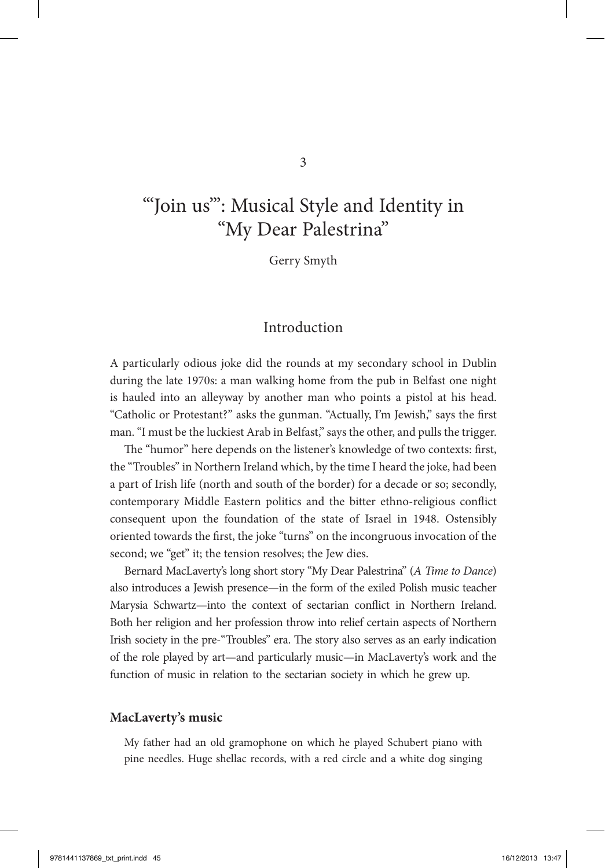# "'Join us'": Musical Style and Identity in "My Dear Palestrina"

Gerry Smyth

## Introduction

A particularly odious joke did the rounds at my secondary school in Dublin during the late 1970s: a man walking home from the pub in Belfast one night is hauled into an alleyway by another man who points a pistol at his head. "Catholic or Protestant?" asks the gunman. "Actually, I'm Jewish," says the first man. "I must be the luckiest Arab in Belfast," says the other, and pulls the trigger.

The "humor" here depends on the listener's knowledge of two contexts: first, the "Troubles" in Northern Ireland which, by the time I heard the joke, had been a part of Irish life (north and south of the border) for a decade or so; secondly, contemporary Middle Eastern politics and the bitter ethno-religious conflict consequent upon the foundation of the state of Israel in 1948. Ostensibly oriented towards the first, the joke "turns" on the incongruous invocation of the second; we "get" it; the tension resolves; the Jew dies.

Bernard MacLaverty's long short story "My Dear Palestrina" (*A Time to Dance*) also introduces a Jewish presence—in the form of the exiled Polish music teacher Marysia Schwartz—into the context of sectarian conflict in Northern Ireland. Both her religion and her profession throw into relief certain aspects of Northern Irish society in the pre-"Troubles" era. The story also serves as an early indication of the role played by art—and particularly music—in MacLaverty's work and the function of music in relation to the sectarian society in which he grew up.

#### **MacLaverty's music**

My father had an old gramophone on which he played Schubert piano with pine needles. Huge shellac records, with a red circle and a white dog singing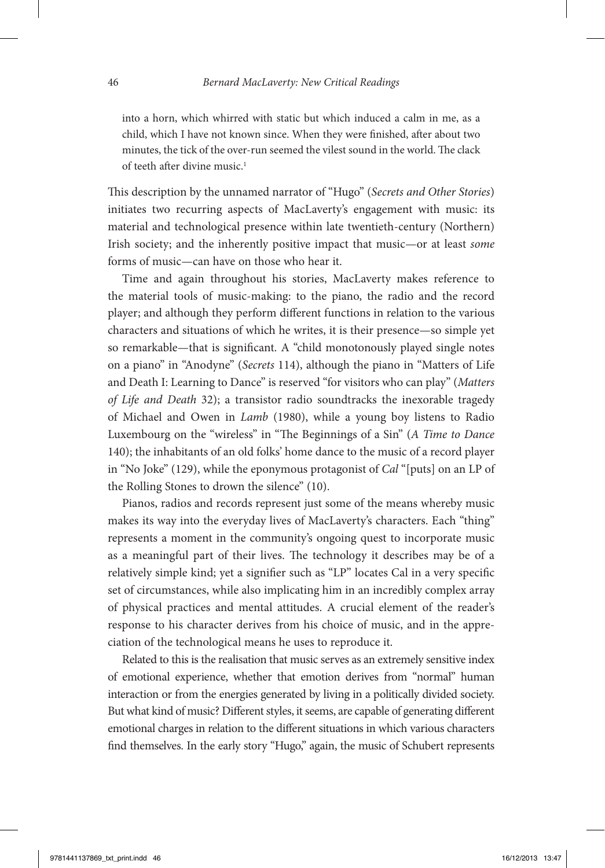into a horn, which whirred with static but which induced a calm in me, as a child, which I have not known since. When they were finished, after about two minutes, the tick of the over-run seemed the vilest sound in the world. The clack of teeth after divine music.<sup>1</sup>

This description by the unnamed narrator of "Hugo" (*Secrets and Other Stories*) initiates two recurring aspects of MacLaverty's engagement with music: its material and technological presence within late twentieth-century (Northern) Irish society; and the inherently positive impact that music—or at least *some* forms of music—can have on those who hear it.

Time and again throughout his stories, MacLaverty makes reference to the material tools of music-making: to the piano, the radio and the record player; and although they perform different functions in relation to the various characters and situations of which he writes, it is their presence—so simple yet so remarkable—that is significant. A "child monotonously played single notes on a piano" in "Anodyne" (*Secrets* 114), although the piano in "Matters of Life and Death I: Learning to Dance" is reserved "for visitors who can play" (*Matters of Life and Death* 32); a transistor radio soundtracks the inexorable tragedy of Michael and Owen in *Lamb* (1980), while a young boy listens to Radio Luxembourg on the "wireless" in "The Beginnings of a Sin" (*A Time to Dance* 140); the inhabitants of an old folks' home dance to the music of a record player in "No Joke" (129), while the eponymous protagonist of *Cal* "[puts] on an LP of the Rolling Stones to drown the silence" (10).

Pianos, radios and records represent just some of the means whereby music makes its way into the everyday lives of MacLaverty's characters. Each "thing" represents a moment in the community's ongoing quest to incorporate music as a meaningful part of their lives. The technology it describes may be of a relatively simple kind; yet a signifier such as "LP" locates Cal in a very specific set of circumstances, while also implicating him in an incredibly complex array of physical practices and mental attitudes. A crucial element of the reader's response to his character derives from his choice of music, and in the appreciation of the technological means he uses to reproduce it.

Related to this is the realisation that music serves as an extremely sensitive index of emotional experience, whether that emotion derives from "normal" human interaction or from the energies generated by living in a politically divided society. But what kind of music? Different styles, it seems, are capable of generating different emotional charges in relation to the different situations in which various characters find themselves. In the early story "Hugo," again, the music of Schubert represents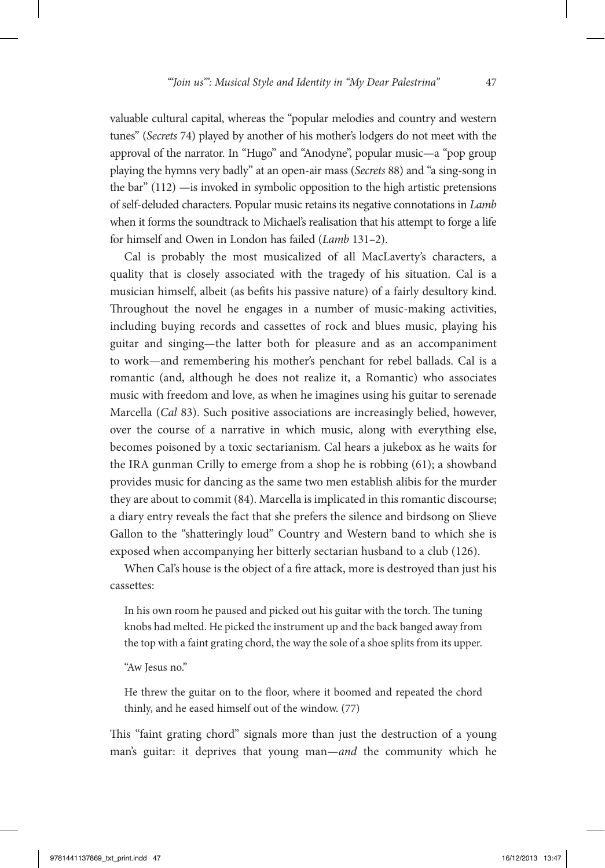valuable cultural capital, whereas the "popular melodies and country and western tunes" (*Secrets* 74) played by another of his mother's lodgers do not meet with the approval of the narrator. In "Hugo" and "Anodyne", popular music—a "pop group playing the hymns very badly" at an open-air mass (*Secrets* 88) and "a sing-song in the bar" (112) —is invoked in symbolic opposition to the high artistic pretensions of self-deluded characters. Popular music retains its negative connotations in *Lamb* when it forms the soundtrack to Michael's realisation that his attempt to forge a life for himself and Owen in London has failed (*Lamb* 131–2).

Cal is probably the most musicalized of all MacLaverty's characters, a quality that is closely associated with the tragedy of his situation. Cal is a musician himself, albeit (as befits his passive nature) of a fairly desultory kind. Throughout the novel he engages in a number of music-making activities, including buying records and cassettes of rock and blues music, playing his guitar and singing—the latter both for pleasure and as an accompaniment to work—and remembering his mother's penchant for rebel ballads. Cal is a romantic (and, although he does not realize it, a Romantic) who associates music with freedom and love, as when he imagines using his guitar to serenade Marcella (*Cal* 83). Such positive associations are increasingly belied, however, over the course of a narrative in which music, along with everything else, becomes poisoned by a toxic sectarianism. Cal hears a jukebox as he waits for the IRA gunman Crilly to emerge from a shop he is robbing (61); a showband provides music for dancing as the same two men establish alibis for the murder they are about to commit (84). Marcella is implicated in this romantic discourse; a diary entry reveals the fact that she prefers the silence and birdsong on Slieve Gallon to the "shatteringly loud" Country and Western band to which she is exposed when accompanying her bitterly sectarian husband to a club (126).

When Cal's house is the object of a fire attack, more is destroyed than just his cassettes:

In his own room he paused and picked out his guitar with the torch. The tuning knobs had melted. He picked the instrument up and the back banged away from the top with a faint grating chord, the way the sole of a shoe splits from its upper.

"Aw Jesus no."

He threw the guitar on to the floor, where it boomed and repeated the chord thinly, and he eased himself out of the window. (77)

This "faint grating chord" signals more than just the destruction of a young man's guitar: it deprives that young man—*and* the community which he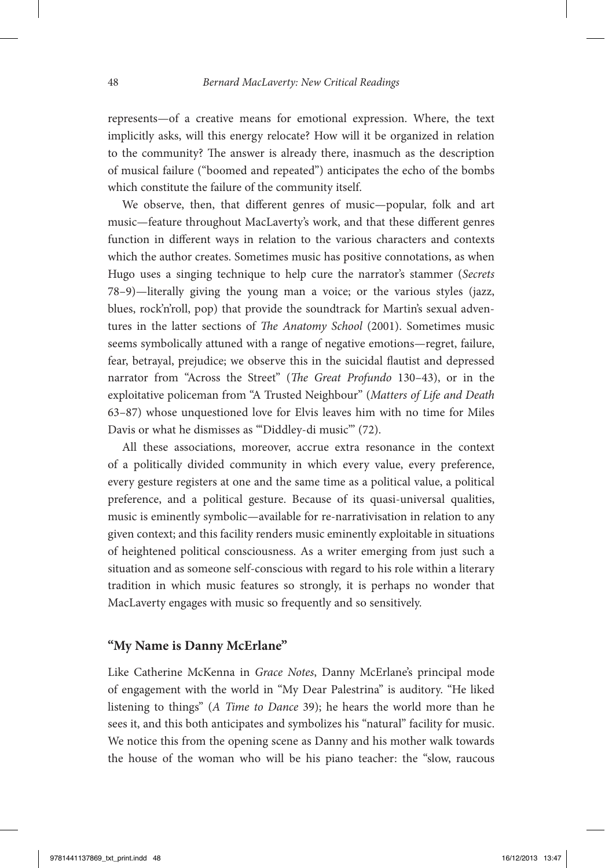represents—of a creative means for emotional expression. Where, the text implicitly asks, will this energy relocate? How will it be organized in relation to the community? The answer is already there, inasmuch as the description of musical failure ("boomed and repeated") anticipates the echo of the bombs which constitute the failure of the community itself.

We observe, then, that different genres of music—popular, folk and art music—feature throughout MacLaverty's work, and that these different genres function in different ways in relation to the various characters and contexts which the author creates. Sometimes music has positive connotations, as when Hugo uses a singing technique to help cure the narrator's stammer (*Secrets* 78–9)—literally giving the young man a voice; or the various styles (jazz, blues, rock'n'roll, pop) that provide the soundtrack for Martin's sexual adventures in the latter sections of *The Anatomy School* (2001). Sometimes music seems symbolically attuned with a range of negative emotions—regret, failure, fear, betrayal, prejudice; we observe this in the suicidal flautist and depressed narrator from "Across the Street" (*The Great Profundo* 130–43), or in the exploitative policeman from "A Trusted Neighbour" (*Matters of Life and Death* 63–87) whose unquestioned love for Elvis leaves him with no time for Miles Davis or what he dismisses as "'Diddley-di music"' (72).

All these associations, moreover, accrue extra resonance in the context of a politically divided community in which every value, every preference, every gesture registers at one and the same time as a political value, a political preference, and a political gesture. Because of its quasi-universal qualities, music is eminently symbolic—available for re-narrativisation in relation to any given context; and this facility renders music eminently exploitable in situations of heightened political consciousness. As a writer emerging from just such a situation and as someone self-conscious with regard to his role within a literary tradition in which music features so strongly, it is perhaps no wonder that MacLaverty engages with music so frequently and so sensitively.

### **"My Name is Danny McErlane"**

Like Catherine McKenna in *Grace Notes*, Danny McErlane's principal mode of engagement with the world in "My Dear Palestrina" is auditory. "He liked listening to things" (*A Time to Dance* 39); he hears the world more than he sees it, and this both anticipates and symbolizes his "natural" facility for music. We notice this from the opening scene as Danny and his mother walk towards the house of the woman who will be his piano teacher: the "slow, raucous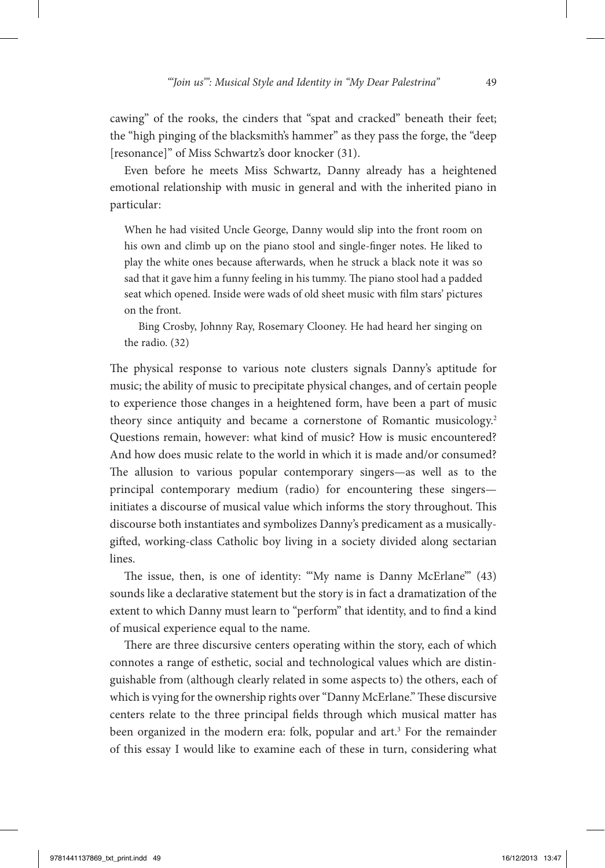cawing" of the rooks, the cinders that "spat and cracked" beneath their feet; the "high pinging of the blacksmith's hammer" as they pass the forge, the "deep [resonance]" of Miss Schwartz's door knocker (31).

Even before he meets Miss Schwartz, Danny already has a heightened emotional relationship with music in general and with the inherited piano in particular:

When he had visited Uncle George, Danny would slip into the front room on his own and climb up on the piano stool and single-finger notes. He liked to play the white ones because afterwards, when he struck a black note it was so sad that it gave him a funny feeling in his tummy. The piano stool had a padded seat which opened. Inside were wads of old sheet music with film stars' pictures on the front.

Bing Crosby, Johnny Ray, Rosemary Clooney. He had heard her singing on the radio. (32)

The physical response to various note clusters signals Danny's aptitude for music; the ability of music to precipitate physical changes, and of certain people to experience those changes in a heightened form, have been a part of music theory since antiquity and became a cornerstone of Romantic musicology.<sup>2</sup> Questions remain, however: what kind of music? How is music encountered? And how does music relate to the world in which it is made and/or consumed? The allusion to various popular contemporary singers—as well as to the principal contemporary medium (radio) for encountering these singers initiates a discourse of musical value which informs the story throughout. This discourse both instantiates and symbolizes Danny's predicament as a musicallygifted, working-class Catholic boy living in a society divided along sectarian lines.

The issue, then, is one of identity: "'My name is Danny McErlane'" (43) sounds like a declarative statement but the story is in fact a dramatization of the extent to which Danny must learn to "perform" that identity, and to find a kind of musical experience equal to the name.

There are three discursive centers operating within the story, each of which connotes a range of esthetic, social and technological values which are distinguishable from (although clearly related in some aspects to) the others, each of which is vying for the ownership rights over "Danny McErlane." These discursive centers relate to the three principal fields through which musical matter has been organized in the modern era: folk, popular and art.<sup>3</sup> For the remainder of this essay I would like to examine each of these in turn, considering what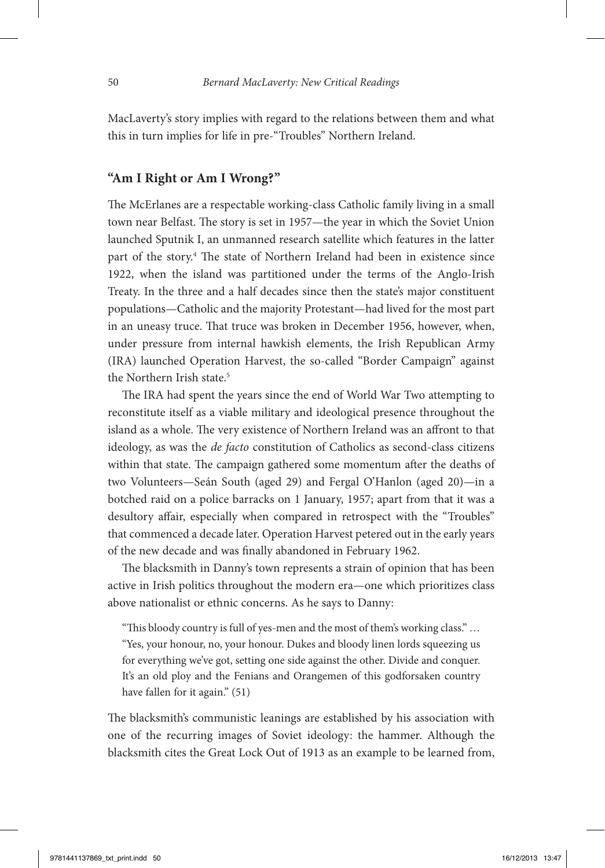MacLaverty's story implies with regard to the relations between them and what this in turn implies for life in pre-"Troubles" Northern Ireland.

## **"Am I Right or Am I Wrong?"**

The McErlanes are a respectable working-class Catholic family living in a small town near Belfast. The story is set in 1957—the year in which the Soviet Union launched Sputnik I, an unmanned research satellite which features in the latter part of the story.4 The state of Northern Ireland had been in existence since 1922, when the island was partitioned under the terms of the Anglo-Irish Treaty. In the three and a half decades since then the state's major constituent populations—Catholic and the majority Protestant—had lived for the most part in an uneasy truce. That truce was broken in December 1956, however, when, under pressure from internal hawkish elements, the Irish Republican Army (IRA) launched Operation Harvest, the so-called "Border Campaign" against the Northern Irish state.<sup>5</sup>

The IRA had spent the years since the end of World War Two attempting to reconstitute itself as a viable military and ideological presence throughout the island as a whole. The very existence of Northern Ireland was an affront to that ideology, as was the *de facto* constitution of Catholics as second-class citizens within that state. The campaign gathered some momentum after the deaths of two Volunteers—Seán South (aged 29) and Fergal O'Hanlon (aged 20)—in a botched raid on a police barracks on 1 January, 1957; apart from that it was a desultory affair, especially when compared in retrospect with the "Troubles" that commenced a decade later. Operation Harvest petered out in the early years of the new decade and was finally abandoned in February 1962.

The blacksmith in Danny's town represents a strain of opinion that has been active in Irish politics throughout the modern era—one which prioritizes class above nationalist or ethnic concerns. As he says to Danny:

"This bloody country is full of yes-men and the most of them's working class." … "Yes, your honour, no, your honour. Dukes and bloody linen lords squeezing us for everything we've got, setting one side against the other. Divide and conquer. It's an old ploy and the Fenians and Orangemen of this godforsaken country have fallen for it again." (51)

The blacksmith's communistic leanings are established by his association with one of the recurring images of Soviet ideology: the hammer. Although the blacksmith cites the Great Lock Out of 1913 as an example to be learned from,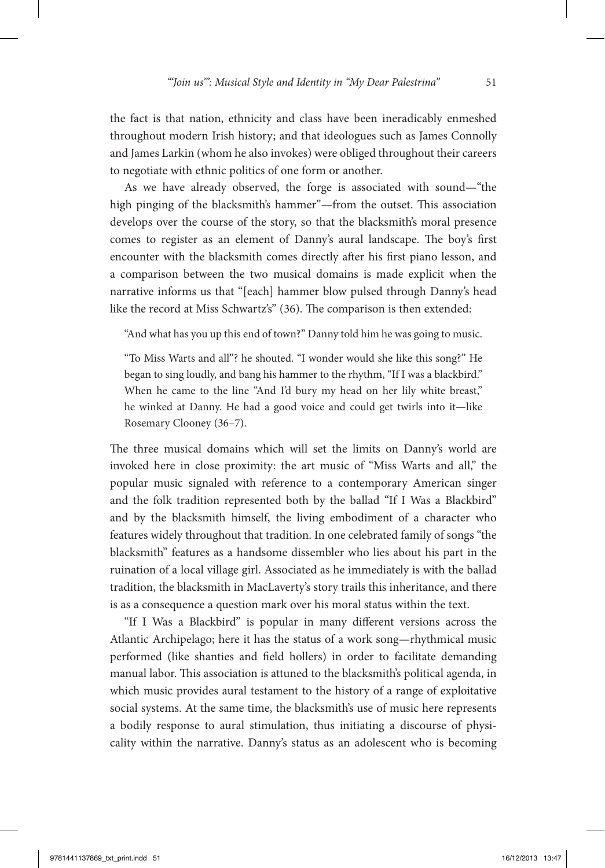the fact is that nation, ethnicity and class have been ineradicably enmeshed throughout modern Irish history; and that ideologues such as James Connolly and James Larkin (whom he also invokes) were obliged throughout their careers to negotiate with ethnic politics of one form or another.

As we have already observed, the forge is associated with sound—"the high pinging of the blacksmith's hammer"—from the outset. This association develops over the course of the story, so that the blacksmith's moral presence comes to register as an element of Danny's aural landscape. The boy's first encounter with the blacksmith comes directly after his first piano lesson, and a comparison between the two musical domains is made explicit when the narrative informs us that "[each] hammer blow pulsed through Danny's head like the record at Miss Schwartz's" (36). The comparison is then extended:

"And what has you up this end of town?" Danny told him he was going to music.

"To Miss Warts and all"? he shouted. "I wonder would she like this song?" He began to sing loudly, and bang his hammer to the rhythm, "If I was a blackbird." When he came to the line "And I'd bury my head on her lily white breast," he winked at Danny. He had a good voice and could get twirls into it—like Rosemary Clooney (36–7).

The three musical domains which will set the limits on Danny's world are invoked here in close proximity: the art music of "Miss Warts and all," the popular music signaled with reference to a contemporary American singer and the folk tradition represented both by the ballad "If I Was a Blackbird" and by the blacksmith himself, the living embodiment of a character who features widely throughout that tradition. In one celebrated family of songs "the blacksmith" features as a handsome dissembler who lies about his part in the ruination of a local village girl. Associated as he immediately is with the ballad tradition, the blacksmith in MacLaverty's story trails this inheritance, and there is as a consequence a question mark over his moral status within the text.

"If I Was a Blackbird" is popular in many different versions across the Atlantic Archipelago; here it has the status of a work song—rhythmical music performed (like shanties and field hollers) in order to facilitate demanding manual labor. This association is attuned to the blacksmith's political agenda, in which music provides aural testament to the history of a range of exploitative social systems. At the same time, the blacksmith's use of music here represents a bodily response to aural stimulation, thus initiating a discourse of physicality within the narrative. Danny's status as an adolescent who is becoming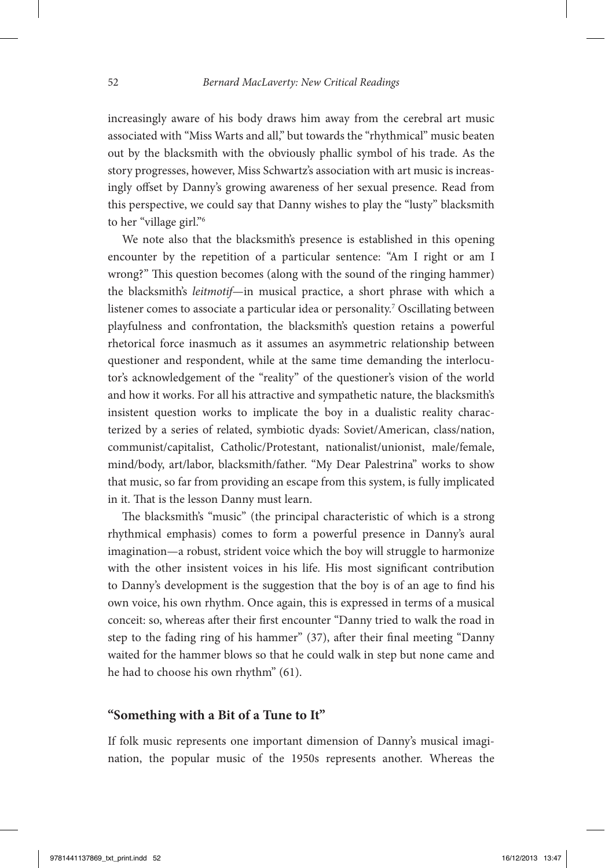increasingly aware of his body draws him away from the cerebral art music associated with "Miss Warts and all," but towards the "rhythmical" music beaten out by the blacksmith with the obviously phallic symbol of his trade. As the story progresses, however, Miss Schwartz's association with art music is increasingly offset by Danny's growing awareness of her sexual presence. Read from this perspective, we could say that Danny wishes to play the "lusty" blacksmith to her "village girl."6

We note also that the blacksmith's presence is established in this opening encounter by the repetition of a particular sentence: "Am I right or am I wrong?" This question becomes (along with the sound of the ringing hammer) the blacksmith's *leitmotif*—in musical practice, a short phrase with which a listener comes to associate a particular idea or personality.7 Oscillating between playfulness and confrontation, the blacksmith's question retains a powerful rhetorical force inasmuch as it assumes an asymmetric relationship between questioner and respondent, while at the same time demanding the interlocutor's acknowledgement of the "reality" of the questioner's vision of the world and how it works. For all his attractive and sympathetic nature, the blacksmith's insistent question works to implicate the boy in a dualistic reality characterized by a series of related, symbiotic dyads: Soviet/American, class/nation, communist/capitalist, Catholic/Protestant, nationalist/unionist, male/female, mind/body, art/labor, blacksmith/father. "My Dear Palestrina" works to show that music, so far from providing an escape from this system, is fully implicated in it. That is the lesson Danny must learn.

The blacksmith's "music" (the principal characteristic of which is a strong rhythmical emphasis) comes to form a powerful presence in Danny's aural imagination—a robust, strident voice which the boy will struggle to harmonize with the other insistent voices in his life. His most significant contribution to Danny's development is the suggestion that the boy is of an age to find his own voice, his own rhythm. Once again, this is expressed in terms of a musical conceit: so, whereas after their first encounter "Danny tried to walk the road in step to the fading ring of his hammer" (37), after their final meeting "Danny waited for the hammer blows so that he could walk in step but none came and he had to choose his own rhythm" (61).

## **"Something with a Bit of a Tune to It"**

If folk music represents one important dimension of Danny's musical imagination, the popular music of the 1950s represents another. Whereas the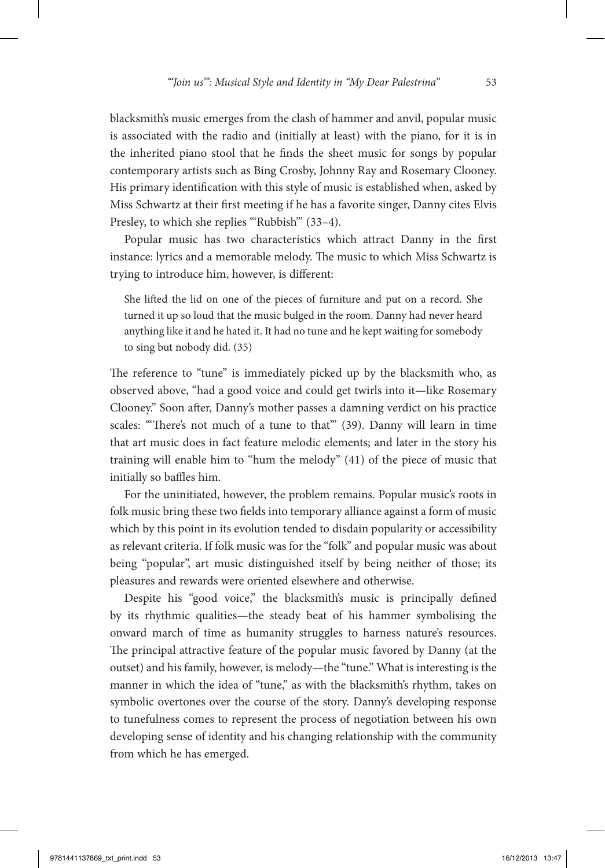blacksmith's music emerges from the clash of hammer and anvil, popular music is associated with the radio and (initially at least) with the piano, for it is in the inherited piano stool that he finds the sheet music for songs by popular contemporary artists such as Bing Crosby, Johnny Ray and Rosemary Clooney. His primary identification with this style of music is established when, asked by Miss Schwartz at their first meeting if he has a favorite singer, Danny cites Elvis Presley, to which she replies "'Rubbish" (33-4).

Popular music has two characteristics which attract Danny in the first instance: lyrics and a memorable melody. The music to which Miss Schwartz is trying to introduce him, however, is different:

She lifted the lid on one of the pieces of furniture and put on a record. She turned it up so loud that the music bulged in the room. Danny had never heard anything like it and he hated it. It had no tune and he kept waiting for somebody to sing but nobody did. (35)

The reference to "tune" is immediately picked up by the blacksmith who, as observed above, "had a good voice and could get twirls into it—like Rosemary Clooney." Soon after, Danny's mother passes a damning verdict on his practice scales: "There's not much of a tune to that" (39). Danny will learn in time that art music does in fact feature melodic elements; and later in the story his training will enable him to "hum the melody" (41) of the piece of music that initially so baffles him.

For the uninitiated, however, the problem remains. Popular music's roots in folk music bring these two fields into temporary alliance against a form of music which by this point in its evolution tended to disdain popularity or accessibility as relevant criteria. If folk music was for the "folk" and popular music was about being "popular", art music distinguished itself by being neither of those; its pleasures and rewards were oriented elsewhere and otherwise.

Despite his "good voice," the blacksmith's music is principally defined by its rhythmic qualities—the steady beat of his hammer symbolising the onward march of time as humanity struggles to harness nature's resources. The principal attractive feature of the popular music favored by Danny (at the outset) and his family, however, is melody—the "tune." What is interesting is the manner in which the idea of "tune," as with the blacksmith's rhythm, takes on symbolic overtones over the course of the story. Danny's developing response to tunefulness comes to represent the process of negotiation between his own developing sense of identity and his changing relationship with the community from which he has emerged.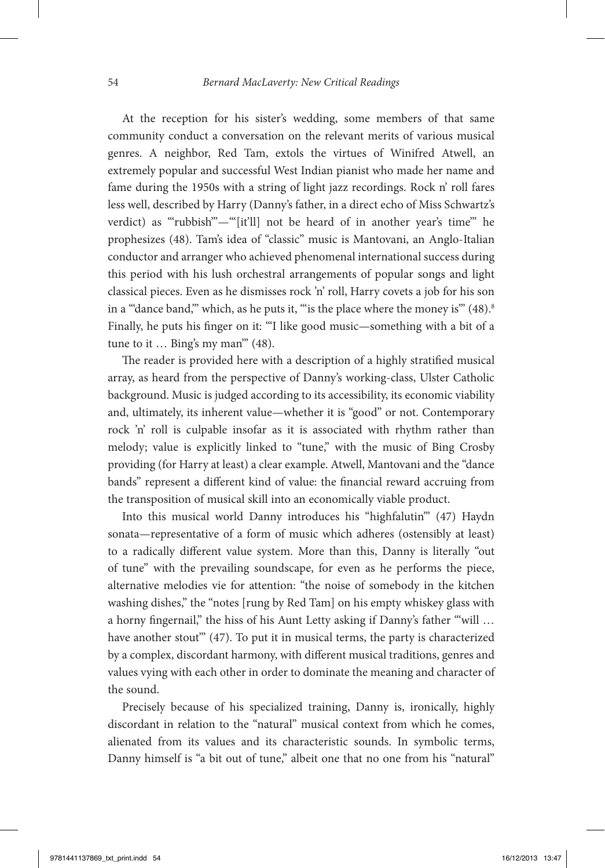At the reception for his sister's wedding, some members of that same community conduct a conversation on the relevant merits of various musical genres. A neighbor, Red Tam, extols the virtues of Winifred Atwell, an extremely popular and successful West Indian pianist who made her name and fame during the 1950s with a string of light jazz recordings. Rock n' roll fares less well, described by Harry (Danny's father, in a direct echo of Miss Schwartz's verdict) as "'rubbish"'—"[it'll] not be heard of in another year's time" he prophesizes (48). Tam's idea of "classic" music is Mantovani, an Anglo-Italian conductor and arranger who achieved phenomenal international success during this period with his lush orchestral arrangements of popular songs and light classical pieces. Even as he dismisses rock 'n' roll, Harry covets a job for his son in a ""dance band," which, as he puts it, "" is the place where the money is"  $(48)$ .<sup>8</sup> Finally, he puts his finger on it: "'I like good music—something with a bit of a tune to it … Bing's my man'" (48).

The reader is provided here with a description of a highly stratified musical array, as heard from the perspective of Danny's working-class, Ulster Catholic background. Music is judged according to its accessibility, its economic viability and, ultimately, its inherent value—whether it is "good" or not. Contemporary rock 'n' roll is culpable insofar as it is associated with rhythm rather than melody; value is explicitly linked to "tune," with the music of Bing Crosby providing (for Harry at least) a clear example. Atwell, Mantovani and the "dance bands" represent a different kind of value: the financial reward accruing from the transposition of musical skill into an economically viable product.

Into this musical world Danny introduces his "highfalutin'" (47) Haydn sonata—representative of a form of music which adheres (ostensibly at least) to a radically different value system. More than this, Danny is literally "out of tune" with the prevailing soundscape, for even as he performs the piece, alternative melodies vie for attention: "the noise of somebody in the kitchen washing dishes," the "notes [rung by Red Tam] on his empty whiskey glass with a horny fingernail," the hiss of his Aunt Letty asking if Danny's father ""will ... have another stout" (47). To put it in musical terms, the party is characterized by a complex, discordant harmony, with different musical traditions, genres and values vying with each other in order to dominate the meaning and character of the sound.

Precisely because of his specialized training, Danny is, ironically, highly discordant in relation to the "natural" musical context from which he comes, alienated from its values and its characteristic sounds. In symbolic terms, Danny himself is "a bit out of tune," albeit one that no one from his "natural"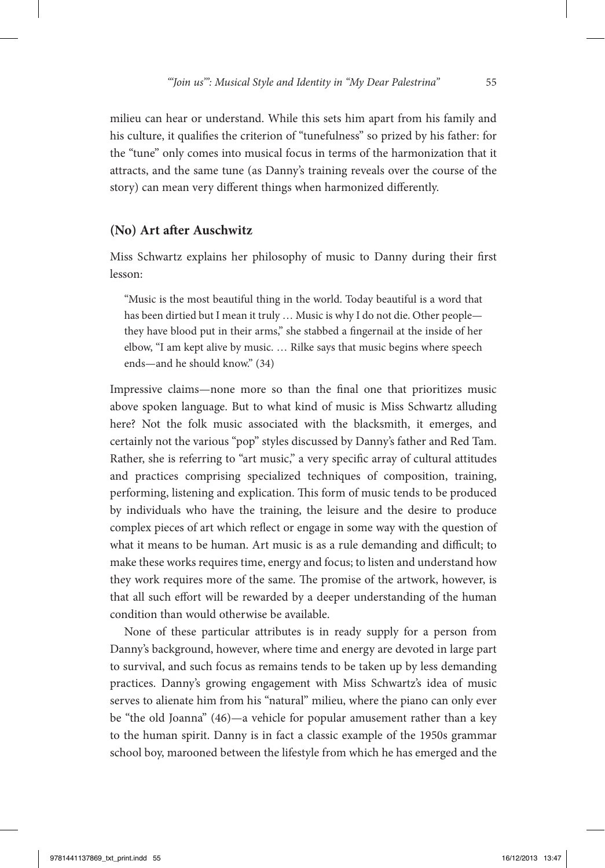milieu can hear or understand. While this sets him apart from his family and his culture, it qualifies the criterion of "tunefulness" so prized by his father: for the "tune" only comes into musical focus in terms of the harmonization that it attracts, and the same tune (as Danny's training reveals over the course of the story) can mean very different things when harmonized differently.

#### **(No) Art after Auschwitz**

Miss Schwartz explains her philosophy of music to Danny during their first lesson:

"Music is the most beautiful thing in the world. Today beautiful is a word that has been dirtied but I mean it truly … Music is why I do not die. Other people they have blood put in their arms," she stabbed a fingernail at the inside of her elbow, "I am kept alive by music. … Rilke says that music begins where speech ends—and he should know." (34)

Impressive claims—none more so than the final one that prioritizes music above spoken language. But to what kind of music is Miss Schwartz alluding here? Not the folk music associated with the blacksmith, it emerges, and certainly not the various "pop" styles discussed by Danny's father and Red Tam. Rather, she is referring to "art music," a very specific array of cultural attitudes and practices comprising specialized techniques of composition, training, performing, listening and explication. This form of music tends to be produced by individuals who have the training, the leisure and the desire to produce complex pieces of art which reflect or engage in some way with the question of what it means to be human. Art music is as a rule demanding and difficult; to make these works requires time, energy and focus; to listen and understand how they work requires more of the same. The promise of the artwork, however, is that all such effort will be rewarded by a deeper understanding of the human condition than would otherwise be available.

None of these particular attributes is in ready supply for a person from Danny's background, however, where time and energy are devoted in large part to survival, and such focus as remains tends to be taken up by less demanding practices. Danny's growing engagement with Miss Schwartz's idea of music serves to alienate him from his "natural" milieu, where the piano can only ever be "the old Joanna" (46)—a vehicle for popular amusement rather than a key to the human spirit. Danny is in fact a classic example of the 1950s grammar school boy, marooned between the lifestyle from which he has emerged and the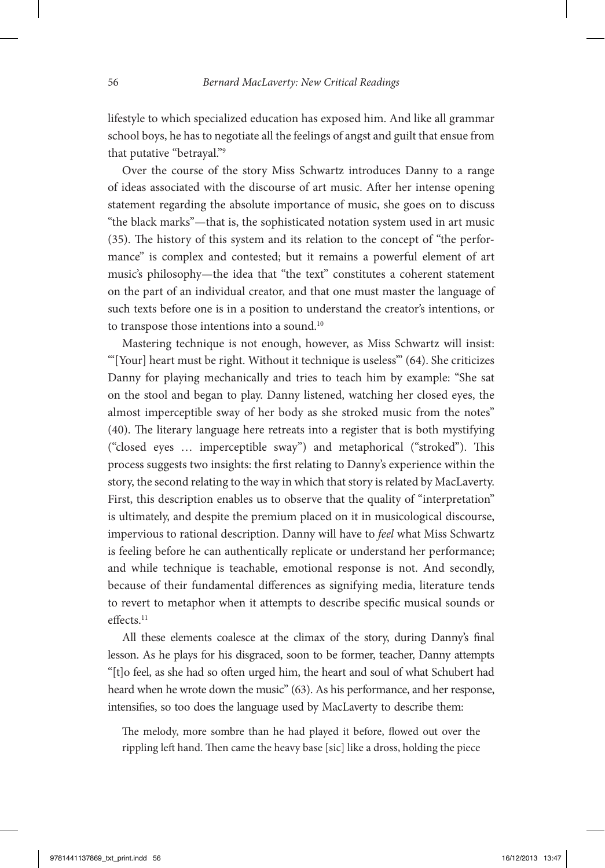lifestyle to which specialized education has exposed him. And like all grammar school boys, he has to negotiate all the feelings of angst and guilt that ensue from that putative "betrayal."9

Over the course of the story Miss Schwartz introduces Danny to a range of ideas associated with the discourse of art music. After her intense opening statement regarding the absolute importance of music, she goes on to discuss "the black marks"—that is, the sophisticated notation system used in art music (35). The history of this system and its relation to the concept of "the performance" is complex and contested; but it remains a powerful element of art music's philosophy—the idea that "the text" constitutes a coherent statement on the part of an individual creator, and that one must master the language of such texts before one is in a position to understand the creator's intentions, or to transpose those intentions into a sound.<sup>10</sup>

Mastering technique is not enough, however, as Miss Schwartz will insist: "'[Your] heart must be right. Without it technique is useless'" (64). She criticizes Danny for playing mechanically and tries to teach him by example: "She sat on the stool and began to play. Danny listened, watching her closed eyes, the almost imperceptible sway of her body as she stroked music from the notes" (40). The literary language here retreats into a register that is both mystifying ("closed eyes … imperceptible sway") and metaphorical ("stroked"). This process suggests two insights: the first relating to Danny's experience within the story, the second relating to the way in which that story is related by MacLaverty. First, this description enables us to observe that the quality of "interpretation" is ultimately, and despite the premium placed on it in musicological discourse, impervious to rational description. Danny will have to *feel* what Miss Schwartz is feeling before he can authentically replicate or understand her performance; and while technique is teachable, emotional response is not. And secondly, because of their fundamental differences as signifying media, literature tends to revert to metaphor when it attempts to describe specific musical sounds or effects.<sup>11</sup>

All these elements coalesce at the climax of the story, during Danny's final lesson. As he plays for his disgraced, soon to be former, teacher, Danny attempts "[t]o feel, as she had so often urged him, the heart and soul of what Schubert had heard when he wrote down the music" (63). As his performance, and her response, intensifies, so too does the language used by MacLaverty to describe them:

The melody, more sombre than he had played it before, flowed out over the rippling left hand. Then came the heavy base [sic] like a dross, holding the piece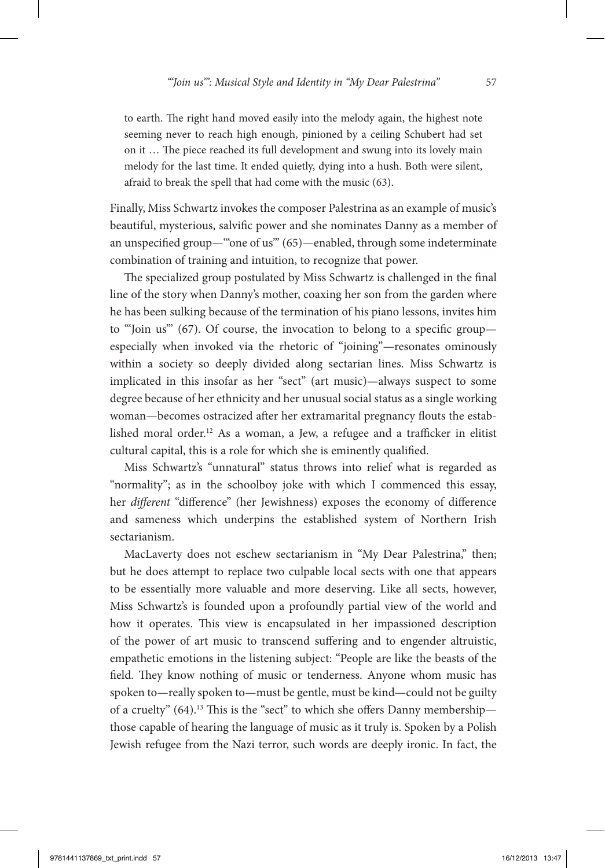to earth. The right hand moved easily into the melody again, the highest note seeming never to reach high enough, pinioned by a ceiling Schubert had set on it … The piece reached its full development and swung into its lovely main melody for the last time. It ended quietly, dying into a hush. Both were silent, afraid to break the spell that had come with the music (63).

Finally, Miss Schwartz invokes the composer Palestrina as an example of music's beautiful, mysterious, salvific power and she nominates Danny as a member of an unspecified group—"'one of us'" (65)—enabled, through some indeterminate combination of training and intuition, to recognize that power.

The specialized group postulated by Miss Schwartz is challenged in the final line of the story when Danny's mother, coaxing her son from the garden where he has been sulking because of the termination of his piano lessons, invites him to "'Join us'" (67). Of course, the invocation to belong to a specific group especially when invoked via the rhetoric of "joining"—resonates ominously within a society so deeply divided along sectarian lines. Miss Schwartz is implicated in this insofar as her "sect" (art music)—always suspect to some degree because of her ethnicity and her unusual social status as a single working woman—becomes ostracized after her extramarital pregnancy flouts the established moral order.12 As a woman, a Jew, a refugee and a trafficker in elitist cultural capital, this is a role for which she is eminently qualified.

Miss Schwartz's "unnatural" status throws into relief what is regarded as "normality"; as in the schoolboy joke with which I commenced this essay, her *different* "difference" (her Jewishness) exposes the economy of difference and sameness which underpins the established system of Northern Irish sectarianism.

MacLaverty does not eschew sectarianism in "My Dear Palestrina," then; but he does attempt to replace two culpable local sects with one that appears to be essentially more valuable and more deserving. Like all sects, however, Miss Schwartz's is founded upon a profoundly partial view of the world and how it operates. This view is encapsulated in her impassioned description of the power of art music to transcend suffering and to engender altruistic, empathetic emotions in the listening subject: "People are like the beasts of the field. They know nothing of music or tenderness. Anyone whom music has spoken to—really spoken to—must be gentle, must be kind—could not be guilty of a cruelty" (64).<sup>13</sup> This is the "sect" to which she offers Danny membership those capable of hearing the language of music as it truly is. Spoken by a Polish Jewish refugee from the Nazi terror, such words are deeply ironic. In fact, the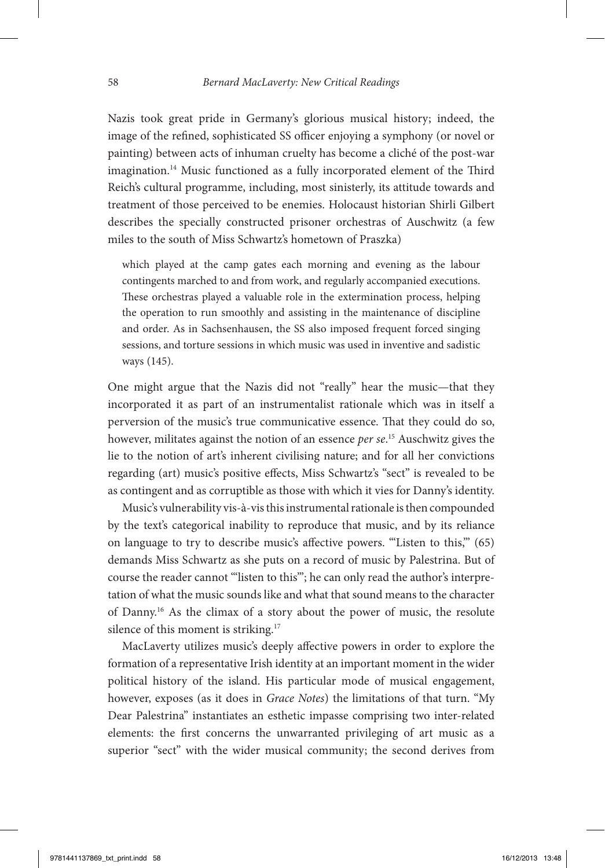Nazis took great pride in Germany's glorious musical history; indeed, the image of the refined, sophisticated SS officer enjoying a symphony (or novel or painting) between acts of inhuman cruelty has become a cliché of the post-war imagination.<sup>14</sup> Music functioned as a fully incorporated element of the Third Reich's cultural programme, including, most sinisterly, its attitude towards and treatment of those perceived to be enemies. Holocaust historian Shirli Gilbert describes the specially constructed prisoner orchestras of Auschwitz (a few miles to the south of Miss Schwartz's hometown of Praszka)

which played at the camp gates each morning and evening as the labour contingents marched to and from work, and regularly accompanied executions. These orchestras played a valuable role in the extermination process, helping the operation to run smoothly and assisting in the maintenance of discipline and order. As in Sachsenhausen, the SS also imposed frequent forced singing sessions, and torture sessions in which music was used in inventive and sadistic ways (145).

One might argue that the Nazis did not "really" hear the music—that they incorporated it as part of an instrumentalist rationale which was in itself a perversion of the music's true communicative essence. That they could do so, however, militates against the notion of an essence *per se*. 15 Auschwitz gives the lie to the notion of art's inherent civilising nature; and for all her convictions regarding (art) music's positive effects, Miss Schwartz's "sect" is revealed to be as contingent and as corruptible as those with which it vies for Danny's identity.

Music's vulnerability vis-à-vis this instrumental rationale is then compounded by the text's categorical inability to reproduce that music, and by its reliance on language to try to describe music's affective powers. "'Listen to this,'" (65) demands Miss Schwartz as she puts on a record of music by Palestrina. But of course the reader cannot "'listen to this'"; he can only read the author's interpretation of what the music sounds like and what that sound means to the character of Danny.16 As the climax of a story about the power of music, the resolute silence of this moment is striking.<sup>17</sup>

MacLaverty utilizes music's deeply affective powers in order to explore the formation of a representative Irish identity at an important moment in the wider political history of the island. His particular mode of musical engagement, however, exposes (as it does in *Grace Notes*) the limitations of that turn. "My Dear Palestrina" instantiates an esthetic impasse comprising two inter-related elements: the first concerns the unwarranted privileging of art music as a superior "sect" with the wider musical community; the second derives from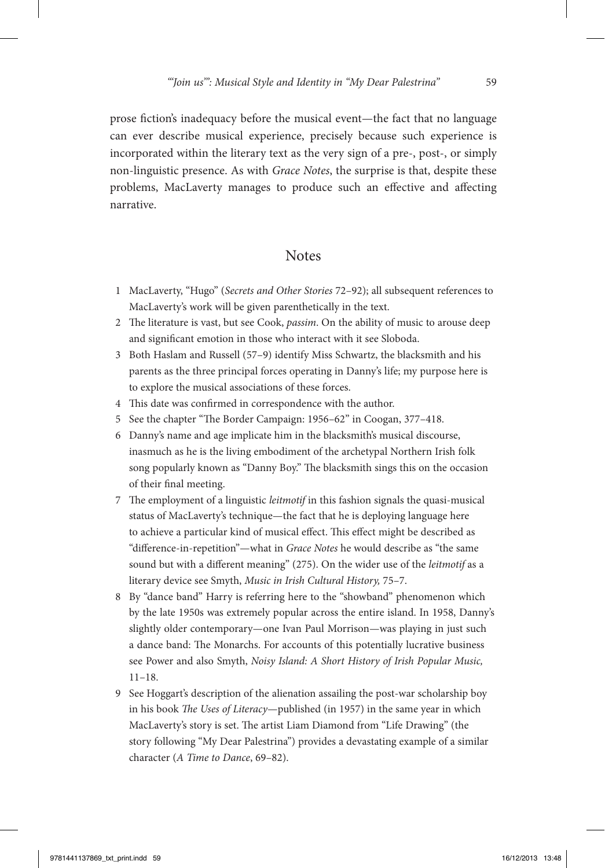prose fiction's inadequacy before the musical event—the fact that no language can ever describe musical experience, precisely because such experience is incorporated within the literary text as the very sign of a pre-, post-, or simply non-linguistic presence. As with *Grace Notes*, the surprise is that, despite these problems, MacLaverty manages to produce such an effective and affecting narrative.

## **Notes**

- 1 MacLaverty, "Hugo" (*Secrets and Other Stories* 72–92); all subsequent references to MacLaverty's work will be given parenthetically in the text.
- 2 The literature is vast, but see Cook, *passim*. On the ability of music to arouse deep and significant emotion in those who interact with it see Sloboda.
- 3 Both Haslam and Russell (57–9) identify Miss Schwartz, the blacksmith and his parents as the three principal forces operating in Danny's life; my purpose here is to explore the musical associations of these forces.
- 4 This date was confirmed in correspondence with the author.
- 5 See the chapter "The Border Campaign: 1956–62" in Coogan, 377–418.
- 6 Danny's name and age implicate him in the blacksmith's musical discourse, inasmuch as he is the living embodiment of the archetypal Northern Irish folk song popularly known as "Danny Boy." The blacksmith sings this on the occasion of their final meeting.
- 7 The employment of a linguistic *leitmotif* in this fashion signals the quasi-musical status of MacLaverty's technique—the fact that he is deploying language here to achieve a particular kind of musical effect. This effect might be described as "difference-in-repetition"—what in *Grace Notes* he would describe as "the same sound but with a different meaning" (275). On the wider use of the *leitmotif* as a literary device see Smyth, *Music in Irish Cultural History,* 75–7.
- 8 By "dance band" Harry is referring here to the "showband" phenomenon which by the late 1950s was extremely popular across the entire island. In 1958, Danny's slightly older contemporary—one Ivan Paul Morrison—was playing in just such a dance band: The Monarchs. For accounts of this potentially lucrative business see Power and also Smyth, *Noisy Island: A Short History of Irish Popular Music,* 11–18.
- 9 See Hoggart's description of the alienation assailing the post-war scholarship boy in his book *The Uses of Literacy*—published (in 1957) in the same year in which MacLaverty's story is set. The artist Liam Diamond from "Life Drawing" (the story following "My Dear Palestrina") provides a devastating example of a similar character (*A Time to Dance*, 69–82).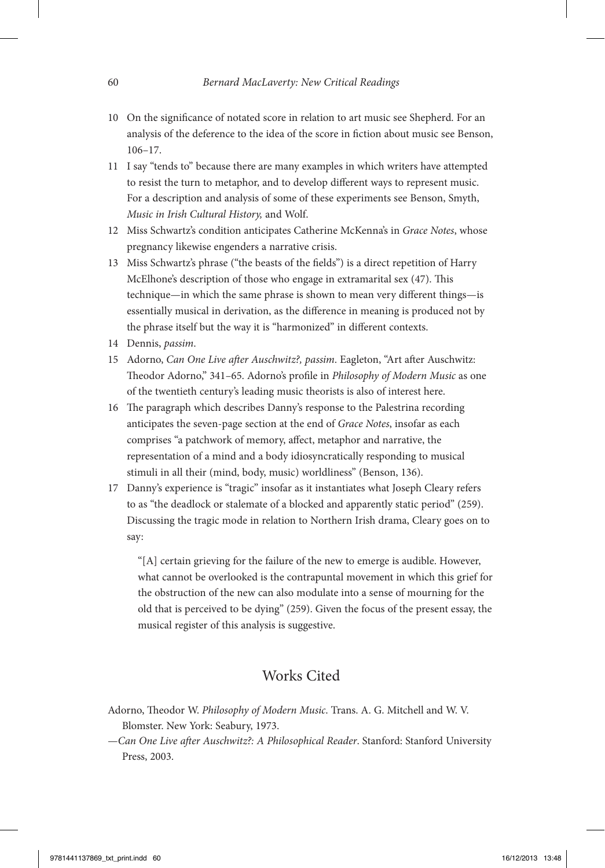- 10 On the significance of notated score in relation to art music see Shepherd. For an analysis of the deference to the idea of the score in fiction about music see Benson, 106–17.
- 11 I say "tends to" because there are many examples in which writers have attempted to resist the turn to metaphor, and to develop different ways to represent music. For a description and analysis of some of these experiments see Benson, Smyth, *Music in Irish Cultural History,* and Wolf.
- 12 Miss Schwartz's condition anticipates Catherine McKenna's in *Grace Notes*, whose pregnancy likewise engenders a narrative crisis.
- 13 Miss Schwartz's phrase ("the beasts of the fields") is a direct repetition of Harry McElhone's description of those who engage in extramarital sex (47). This technique—in which the same phrase is shown to mean very different things—is essentially musical in derivation, as the difference in meaning is produced not by the phrase itself but the way it is "harmonized" in different contexts.
- 14 Dennis, *passim*.
- 15 Adorno, *Can One Live after Auschwitz?, passim*. Eagleton, "Art after Auschwitz: Theodor Adorno," 341–65. Adorno's profile in *Philosophy of Modern Music* as one of the twentieth century's leading music theorists is also of interest here.
- 16 The paragraph which describes Danny's response to the Palestrina recording anticipates the seven-page section at the end of *Grace Notes*, insofar as each comprises "a patchwork of memory, affect, metaphor and narrative, the representation of a mind and a body idiosyncratically responding to musical stimuli in all their (mind, body, music) worldliness" (Benson, 136).
- 17 Danny's experience is "tragic" insofar as it instantiates what Joseph Cleary refers to as "the deadlock or stalemate of a blocked and apparently static period" (259). Discussing the tragic mode in relation to Northern Irish drama, Cleary goes on to say:

"[A] certain grieving for the failure of the new to emerge is audible. However, what cannot be overlooked is the contrapuntal movement in which this grief for the obstruction of the new can also modulate into a sense of mourning for the old that is perceived to be dying" (259). Given the focus of the present essay, the musical register of this analysis is suggestive.

# Works Cited

- Adorno, Theodor W. *Philosophy of Modern Music*. Trans. A. G. Mitchell and W. V. Blomster. New York: Seabury, 1973.
- —*Can One Live after Auschwitz?: A Philosophical Reader*. Stanford: Stanford University Press, 2003.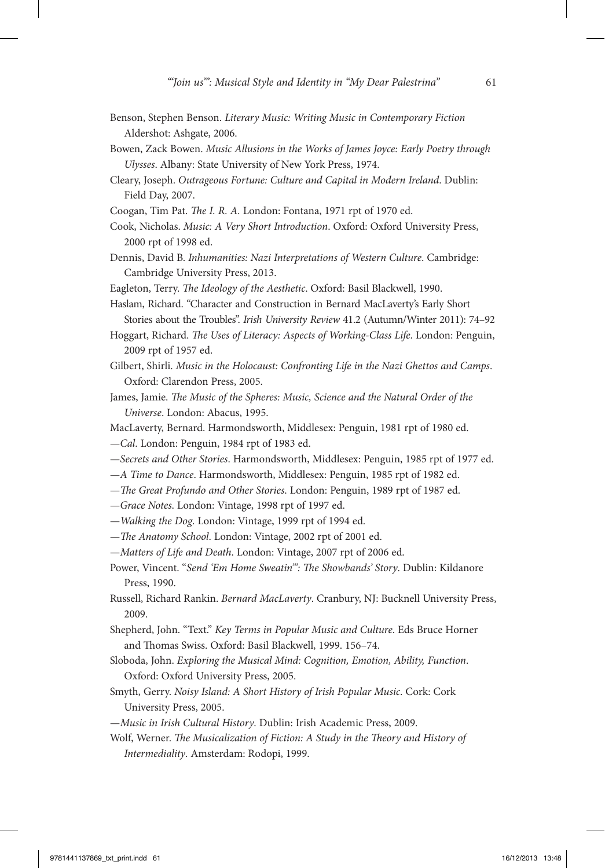- Benson, Stephen Benson. *Literary Music: Writing Music in Contemporary Fiction*  Aldershot: Ashgate, 2006.
- Bowen, Zack Bowen. *Music Allusions in the Works of James Joyce: Early Poetry through Ulysses*. Albany: State University of New York Press, 1974.
- Cleary, Joseph. *Outrageous Fortune: Culture and Capital in Modern Ireland*. Dublin: Field Day, 2007.
- Coogan, Tim Pat. *The I. R. A.* London: Fontana, 1971 rpt of 1970 ed.
- Cook, Nicholas. *Music: A Very Short Introduction*. Oxford: Oxford University Press, 2000 rpt of 1998 ed.
- Dennis, David B. *Inhumanities: Nazi Interpretations of Western Culture*. Cambridge: Cambridge University Press, 2013.
- Eagleton, Terry. *The Ideology of the Aesthetic*. Oxford: Basil Blackwell, 1990.
- Haslam, Richard. "Character and Construction in Bernard MacLaverty's Early Short Stories about the Troubles". *Irish University Review* 41.2 (Autumn/Winter 2011): 74–92
- Hoggart, Richard. *The Uses of Literacy: Aspects of Working-Class Life*. London: Penguin, 2009 rpt of 1957 ed.
- Gilbert, Shirli. *Music in the Holocaust: Confronting Life in the Nazi Ghettos and Camps*. Oxford: Clarendon Press, 2005.
- James, Jamie. *The Music of the Spheres: Music, Science and the Natural Order of the Universe*. London: Abacus, 1995.
- MacLaverty, Bernard. Harmondsworth, Middlesex: Penguin, 1981 rpt of 1980 ed.
- —*Cal*. London: Penguin, 1984 rpt of 1983 ed.
- —*Secrets and Other Stories*. Harmondsworth, Middlesex: Penguin, 1985 rpt of 1977 ed.
- —*A Time to Dance*. Harmondsworth, Middlesex: Penguin, 1985 rpt of 1982 ed.
- —*The Great Profundo and Other Stories*. London: Penguin, 1989 rpt of 1987 ed.
- —*Grace Notes*. London: Vintage, 1998 rpt of 1997 ed.
- —*Walking the Dog*. London: Vintage, 1999 rpt of 1994 ed.
- —*The Anatomy School*. London: Vintage, 2002 rpt of 2001 ed.
- —*Matters of Life and Death*. London: Vintage, 2007 rpt of 2006 ed.
- Power, Vincent. "*Send 'Em Home Sweatin'": The Showbands' Story*. Dublin: Kildanore Press, 1990.
- Russell, Richard Rankin. *Bernard MacLaverty*. Cranbury, NJ: Bucknell University Press, 2009.
- Shepherd, John. "Text." *Key Terms in Popular Music and Culture*. Eds Bruce Horner and Thomas Swiss. Oxford: Basil Blackwell, 1999. 156–74.
- Sloboda, John. *Exploring the Musical Mind: Cognition, Emotion, Ability, Function*. Oxford: Oxford University Press, 2005.
- Smyth, Gerry. *Noisy Island: A Short History of Irish Popular Music*. Cork: Cork University Press, 2005.
- —*Music in Irish Cultural History*. Dublin: Irish Academic Press, 2009.
- Wolf, Werner. *The Musicalization of Fiction: A Study in the Theory and History of Intermediality*. Amsterdam: Rodopi, 1999.